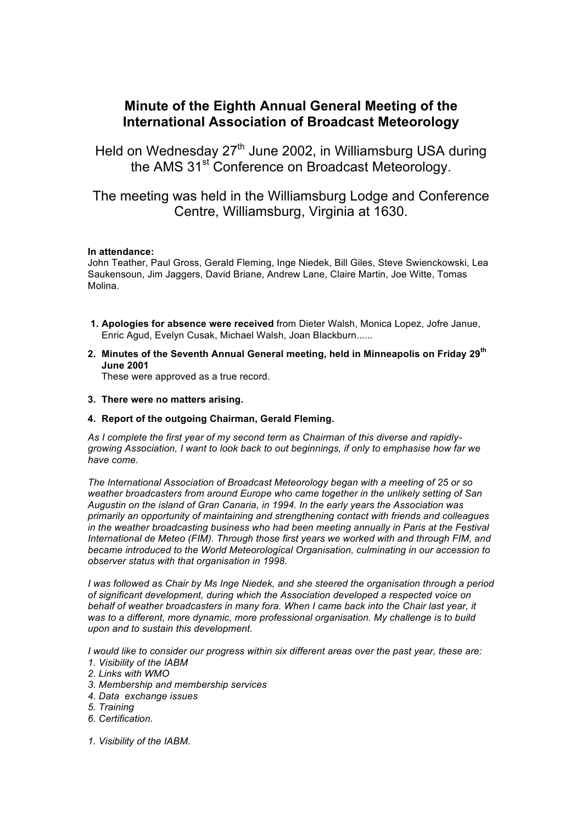# **Minute of the Eighth Annual General Meeting of the International Association of Broadcast Meteorology**

Held on Wednesday 27<sup>th</sup> June 2002, in Williamsburg USA during the AMS 31<sup>st</sup> Conference on Broadcast Meteorology.

The meeting was held in the Williamsburg Lodge and Conference Centre, Williamsburg, Virginia at 1630.

# **In attendance:**

John Teather, Paul Gross, Gerald Fleming, Inge Niedek, Bill Giles, Steve Swienckowski, Lea Saukensoun, Jim Jaggers, David Briane, Andrew Lane, Claire Martin, Joe Witte, Tomas Molina.

- **1. Apologies for absence were received** from Dieter Walsh, Monica Lopez, Jofre Janue, Enric Agud, Evelyn Cusak, Michael Walsh, Joan Blackburn......
- **2. Minutes of the Seventh Annual General meeting, held in Minneapolis on Friday 29th June 2001**

These were approved as a true record.

- **3. There were no matters arising.**
- **4. Report of the outgoing Chairman, Gerald Fleming.**

*As I complete the first year of my second term as Chairman of this diverse and rapidlygrowing Association, I want to look back to out beginnings, if only to emphasise how far we have come.*

*The International Association of Broadcast Meteorology began with a meeting of 25 or so weather broadcasters from around Europe who came together in the unlikely setting of San Augustin on the island of Gran Canaria, in 1994. In the early years the Association was primarily an opportunity of maintaining and strengthening contact with friends and colleagues*  in the weather broadcasting business who had been meeting annually in Paris at the Festival *International de Meteo (FIM). Through those first years we worked with and through FIM, and became introduced to the World Meteorological Organisation, culminating in our accession to observer status with that organisation in 1998.* 

*I was followed as Chair by Ms Inge Niedek, and she steered the organisation through a period of significant development, during which the Association developed a respected voice on behalf of weather broadcasters in many fora. When I came back into the Chair last year, it was to a different, more dynamic, more professional organisation. My challenge is to build upon and to sustain this development.*

*I would like to consider our progress within six different areas over the past year, these are:*

- *1. Visibility of the IABM*
- *2. Links with WMO*
- *3. Membership and membership services*
- *4. Data exchange issues*
- *5. Training*
- *6. Certification.*
- *1. Visibility of the IABM.*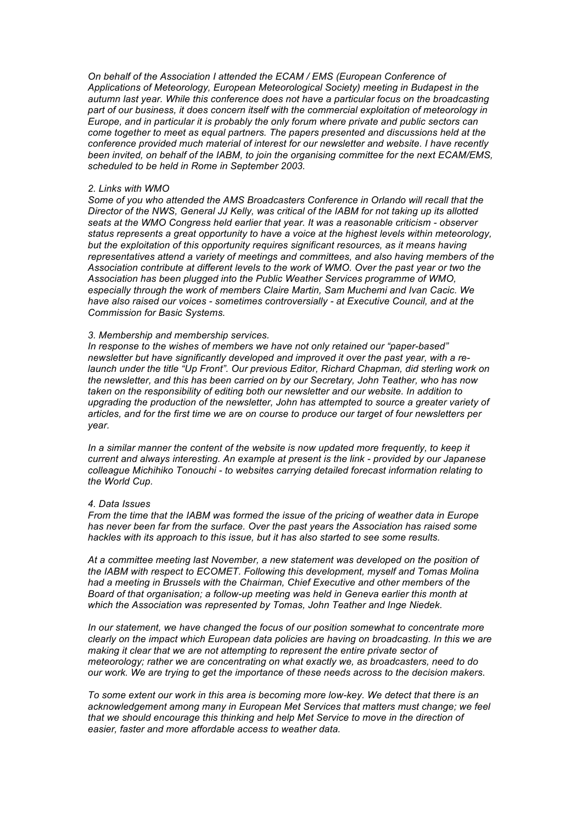*On behalf of the Association I attended the ECAM / EMS (European Conference of Applications of Meteorology, European Meteorological Society) meeting in Budapest in the autumn last year. While this conference does not have a particular focus on the broadcasting part of our business, it does concern itself with the commercial exploitation of meteorology in Europe, and in particular it is probably the only forum where private and public sectors can come together to meet as equal partners. The papers presented and discussions held at the conference provided much material of interest for our newsletter and website. I have recently been invited, on behalf of the IABM, to join the organising committee for the next ECAM/EMS, scheduled to be held in Rome in September 2003.* 

#### *2. Links with WMO*

*Some of you who attended the AMS Broadcasters Conference in Orlando will recall that the Director of the NWS, General JJ Kelly, was critical of the IABM for not taking up its allotted seats at the WMO Congress held earlier that year. It was a reasonable criticism - observer status represents a great opportunity to have a voice at the highest levels within meteorology, but the exploitation of this opportunity requires significant resources, as it means having representatives attend a variety of meetings and committees, and also having members of the Association contribute at different levels to the work of WMO. Over the past year or two the Association has been plugged into the Public Weather Services programme of WMO, especially through the work of members Claire Martin, Sam Muchemi and Ivan Cacic. We have also raised our voices - sometimes controversially - at Executive Council, and at the Commission for Basic Systems.* 

#### *3. Membership and membership services.*

*In response to the wishes of members we have not only retained our "paper-based" newsletter but have significantly developed and improved it over the past year, with a relaunch under the title "Up Front". Our previous Editor, Richard Chapman, did sterling work on the newsletter, and this has been carried on by our Secretary, John Teather, who has now taken on the responsibility of editing both our newsletter and our website. In addition to upgrading the production of the newsletter, John has attempted to source a greater variety of articles, and for the first time we are on course to produce our target of four newsletters per year.* 

*In a similar manner the content of the website is now updated more frequently, to keep it current and always interesting. An example at present is the link - provided by our Japanese colleague Michihiko Tonouchi - to websites carrying detailed forecast information relating to the World Cup.*

#### *4. Data Issues*

*From the time that the IABM was formed the issue of the pricing of weather data in Europe has never been far from the surface. Over the past years the Association has raised some hackles with its approach to this issue, but it has also started to see some results.*

*At a committee meeting last November, a new statement was developed on the position of the IABM with respect to ECOMET. Following this development, myself and Tomas Molina had a meeting in Brussels with the Chairman, Chief Executive and other members of the Board of that organisation; a follow-up meeting was held in Geneva earlier this month at which the Association was represented by Tomas, John Teather and Inge Niedek.* 

*In our statement, we have changed the focus of our position somewhat to concentrate more clearly on the impact which European data policies are having on broadcasting. In this we are making it clear that we are not attempting to represent the entire private sector of meteorology; rather we are concentrating on what exactly we, as broadcasters, need to do our work. We are trying to get the importance of these needs across to the decision makers.*

*To some extent our work in this area is becoming more low-key. We detect that there is an acknowledgement among many in European Met Services that matters must change; we feel that we should encourage this thinking and help Met Service to move in the direction of easier, faster and more affordable access to weather data.*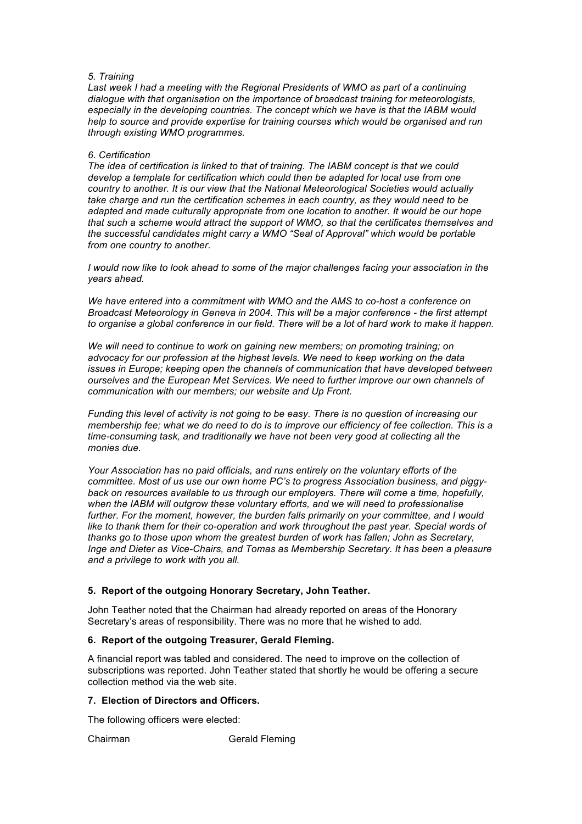### *5. Training*

*Last week I had a meeting with the Regional Presidents of WMO as part of a continuing dialogue with that organisation on the importance of broadcast training for meteorologists, especially in the developing countries. The concept which we have is that the IABM would help to source and provide expertise for training courses which would be organised and run through existing WMO programmes.* 

### *6. Certification*

*The idea of certification is linked to that of training. The IABM concept is that we could develop a template for certification which could then be adapted for local use from one country to another. It is our view that the National Meteorological Societies would actually take charge and run the certification schemes in each country, as they would need to be adapted and made culturally appropriate from one location to another. It would be our hope that such a scheme would attract the support of WMO, so that the certificates themselves and the successful candidates might carry a WMO "Seal of Approval" which would be portable from one country to another.*

*I would now like to look ahead to some of the major challenges facing your association in the years ahead.*

*We have entered into a commitment with WMO and the AMS to co-host a conference on Broadcast Meteorology in Geneva in 2004. This will be a major conference - the first attempt to organise a global conference in our field. There will be a lot of hard work to make it happen.*

*We will need to continue to work on gaining new members; on promoting training; on advocacy for our profession at the highest levels. We need to keep working on the data issues in Europe; keeping open the channels of communication that have developed between ourselves and the European Met Services. We need to further improve our own channels of communication with our members; our website and Up Front.* 

*Funding this level of activity is not going to be easy. There is no question of increasing our membership fee; what we do need to do is to improve our efficiency of fee collection. This is a time-consuming task, and traditionally we have not been very good at collecting all the monies due.* 

*Your Association has no paid officials, and runs entirely on the voluntary efforts of the committee. Most of us use our own home PC's to progress Association business, and piggyback on resources available to us through our employers. There will come a time, hopefully, when the IABM will outgrow these voluntary efforts, and we will need to professionalise*  further. For the moment, however, the burden falls primarily on your committee, and I would like to thank them for their co-operation and work throughout the past year. Special words of *thanks go to those upon whom the greatest burden of work has fallen; John as Secretary, Inge and Dieter as Vice-Chairs, and Tomas as Membership Secretary. It has been a pleasure and a privilege to work with you all.* 

# **5. Report of the outgoing Honorary Secretary, John Teather.**

John Teather noted that the Chairman had already reported on areas of the Honorary Secretary's areas of responsibility. There was no more that he wished to add.

# **6. Report of the outgoing Treasurer, Gerald Fleming.**

A financial report was tabled and considered. The need to improve on the collection of subscriptions was reported. John Teather stated that shortly he would be offering a secure collection method via the web site.

## **7. Election of Directors and Officers.**

The following officers were elected:

Chairman Gerald Fleming